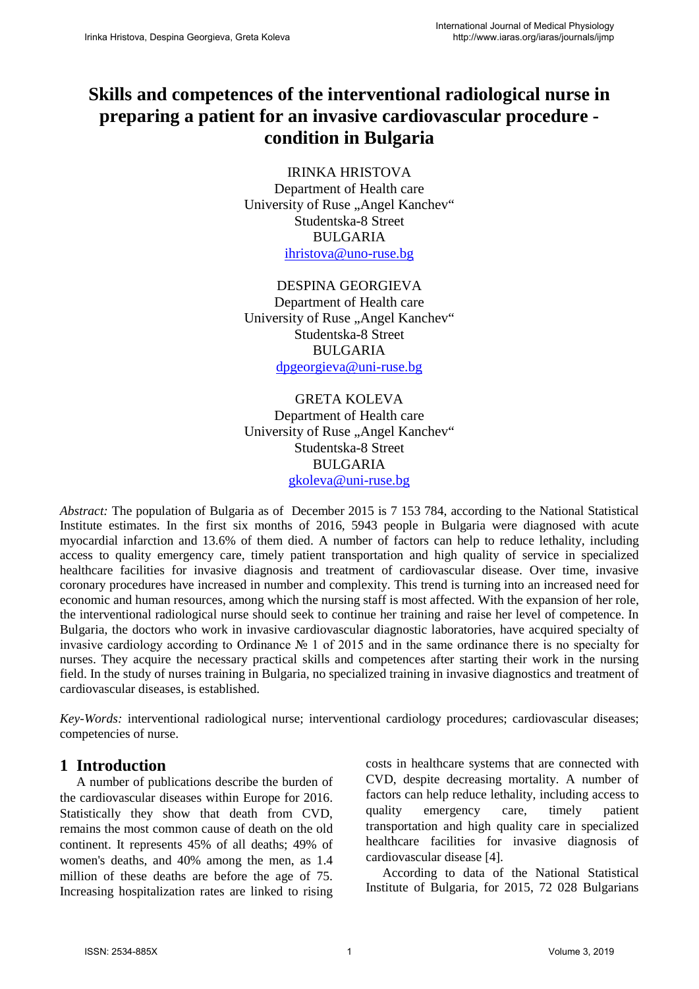## **Skills and competences of the interventional radiological nurse in preparing a patient for an invasive cardiovascular procedure condition in Bulgaria**

IRINKA HRISTOVA Department of Health care University of Ruse "Angel Kanchev" Studentska-8 Street BULGARIA [ihristova@uno-ruse.bg](mailto:ihristova@uno-ruse.bg)

DESPINA GEORGIEVA Department of Health care University of Ruse "Angel Kanchev" Studentska-8 Street BULGARIA [dpgeorgieva@uni-ruse.bg](mailto:dpgeorgieva@uni-ruse.bg)

GRETA KOLEVA Department of Health care University of Ruse "Angel Kanchev" Studentska-8 Street BULGARIA [gkoleva@uni-ruse.bg](mailto:gkoleva@uni-ruse.bg)

*Abstract:* The population of Bulgaria as of December 2015 is 7 153 784, according to the National Statistical Institute estimates. In the first six months of 2016, 5943 people in Bulgaria were diagnosed with acute myocardial infarction and 13.6% of them died. A number of factors can help to reduce lethality, including access to quality emergency care, timely patient transportation and high quality of service in specialized healthcare facilities for invasive diagnosis and treatment of cardiovascular disease. Over time, invasive coronary procedures have increased in number and complexity. This trend is turning into an increased need for economic and human resources, among which the nursing staff is most affected. With the expansion of her role, the interventional radiological nurse should seek to continue her training and raise her level of competence. In Bulgaria, the doctors who work in invasive cardiovascular diagnostic laboratories, have acquired specialty of invasive cardiology according to Ordinance № 1 of 2015 and in the same ordinance there is no specialty for nurses. They acquire the necessary practical skills and competences after starting their work in the nursing field. In the study of nurses training in Bulgaria, no specialized training in invasive diagnostics and treatment of cardiovascular diseases, is established.

*Key-Words:* interventional radiological nurse; interventional cardiology procedures; cardiovascular diseases; competencies of nurse.

## **1 Introduction**

A number of publications describe the burden of the cardiovascular diseases within Europe for 2016. Statistically they show that death from CVD, remains the most common cause of death on the old continent. It represents 45% of all deaths; 49% of women's deaths, and 40% among the men, as 1.4 million of these deaths are before the age of 75. Increasing hospitalization rates are linked to rising costs in healthcare systems that are connected with CVD, despite decreasing mortality. A number of factors can help reduce lethality, including access to quality emergency care, timely patient transportation and high quality care in specialized healthcare facilities for invasive diagnosis of cardiovascular disease [4].

According to data of the National Statistical Institute of Bulgaria, for 2015, 72 028 Bulgarians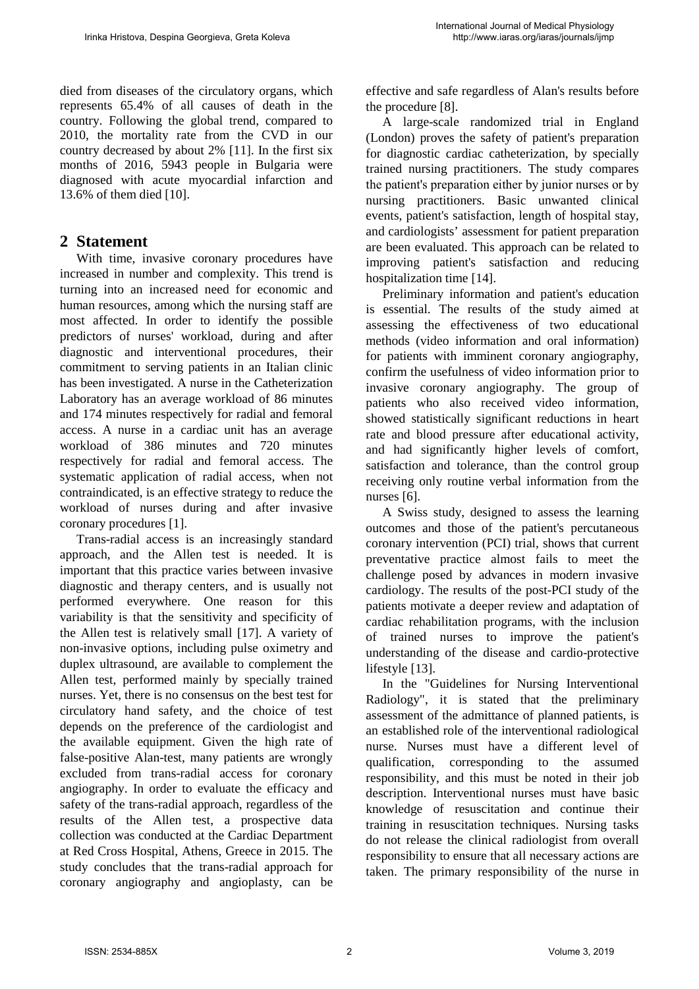died from diseases of the circulatory organs, which represents 65.4% of all causes of death in the country. Following the global trend, compared to 2010, the mortality rate from the CVD in our country decreased by about 2% [11]. In the first six months of 2016, 5943 people in Bulgaria were diagnosed with acute myocardial infarction and 13.6% of them died [10].

## **2 Statement**

With time, invasive coronary procedures have increased in number and complexity. This trend is turning into an increased need for economic and human resources, among which the nursing staff are most affected. In order to identify the possible predictors of nurses' workload, during and after diagnostic and interventional procedures, their commitment to serving patients in an Italian clinic has been investigated. A nurse in the Catheterization Laboratory has an average workload of 86 minutes and 174 minutes respectively for radial and femoral access. A nurse in a cardiac unit has an average workload of 386 minutes and 720 minutes respectively for radial and femoral access. The systematic application of radial access, when not contraindicated, is an effective strategy to reduce the workload of nurses during and after invasive coronary procedures [1].

Trans-radial access is an increasingly standard approach, and the Allen test is needed. It is important that this practice varies between invasive diagnostic and therapy centers, and is usually not performed everywhere. One reason for this variability is that the sensitivity and specificity of the Allen test is relatively small [17]. A variety of non-invasive options, including pulse oximetry and duplex ultrasound, are available to complement the Allen test, performed mainly by specially trained nurses. Yet, there is no consensus on the best test for circulatory hand safety, and the choice of test depends on the preference of the cardiologist and the available equipment. Given the high rate of false-positive Alan-test, many patients are wrongly excluded from trans-radial access for coronary angiography. In order to evaluate the efficacy and safety of the trans-radial approach, regardless of the results of the Allen test, a prospective data collection was conducted at the Cardiac Department at Red Cross Hospital, Athens, Greece in 2015. The study concludes that the trans-radial approach for coronary angiography and angioplasty, can be effective and safe regardless of Alan's results before the procedure [8].

A large-scale randomized trial in England (London) proves the safety of patient's preparation for diagnostic cardiac catheterization, by specially trained nursing practitioners. The study compares the patient's preparаtion either by junior nurses or by nursing practitioners. Basic unwanted clinical events, patient's satisfaction, length of hospital stay, and cardiologists' assessment for patient preparation are been evaluated. This approach can be related to improving patient's satisfaction and reducing hospitalization time [14].

Preliminary information and patient's education is essential. The results of the study aimed at assessing the effectiveness of two educational methods (video information and oral information) for patients with imminent coronary angiography, confirm the usefulness of video information prior to invasive coronary angiography. The group of patients who also received video information, showed statistically significant reductions in heart rate and blood pressure after educational activity, and had significantly higher levels of comfort, satisfaction and tolerance, than the control group receiving only routine verbal information from the nurses [6].

A Swiss study, designed to assess the learning outcomes and those of the patient's percutaneous coronary intervention (PCI) trial, shows that current preventative practice almost fails to meet the challenge posed by advances in modern invasive cardiology. The results of the post-PCI study of the patients motivate a deeper review and adaptation of cardiac rehabilitation programs, with the inclusion of trained nurses to improve the patient's understanding of the disease and cardio-protective lifestyle [13].

In the "Guidelines for Nursing Interventional Radiology", it is stated that the preliminary assessment of the admittance of planned patients, is an established role of the interventional radiological nurse. Nurses must have a different level of qualification, corresponding to the assumed responsibility, and this must be noted in their job description. Interventional nurses must have basic knowledge of resuscitation and continue their training in resuscitation techniques. Nursing tasks do not release the clinical radiologist from overall responsibility to ensure that all necessary actions are taken. The primary responsibility of the nurse in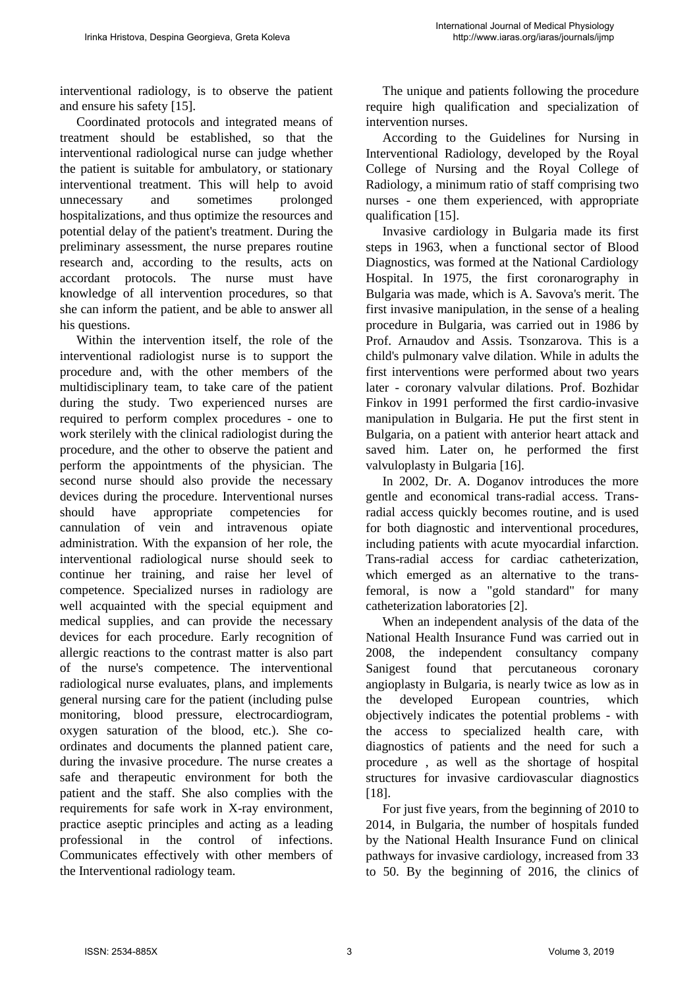interventional radiology, is to observe the patient and ensure his safety [15].

Coordinated protocols and integrated means of treatment should be established, so that the interventional radiological nurse can judge whether the patient is suitable for ambulatory, or stationary interventional treatment. This will help to avoid unnecessary and sometimes prolonged hospitalizations, and thus optimize the resources and potential delay of the patient's treatment. During the preliminary assessment, the nurse prepares routine research and, according to the results, acts on accordant protocols. The nurse must have knowledge of all intervention procedures, so that she can inform the patient, and be able to answer all his questions.

Within the intervention itself, the role of the interventional radiologist nurse is to support the procedure and, with the other members of the multidisciplinary team, to take care of the patient during the study. Two experienced nurses are required to perform complex procedures - one to work sterilely with the clinical radiologist during the procedure, and the other to observe the patient and perform the appointments of the physician. The second nurse should also provide the necessary devices during the procedure. Interventional nurses should have appropriate competencies for cannulation of vein and intravenous opiate administration. With the expansion of her role, the interventional radiological nurse should seek to continue her training, and raise her level of competence. Specialized nurses in radiology are well acquainted with the special equipment and medical supplies, and can provide the necessary devices for each procedure. Early recognition of allergic reactions to the contrast matter is also part of the nurse's competence. The interventional radiological nurse evaluates, plans, and implements general nursing care for the patient (including pulse monitoring, blood pressure, electrocardiogram, oxygen saturation of the blood, etc.). She coordinates and documents the planned patient care, during the invasive procedure. The nurse creates a safe and therapeutic environment for both the patient and the staff. She also complies with the requirements for safe work in X-ray environment, practice aseptic principles and acting as a leading professional in the control of infections. Communicates effectively with other members of the Interventional radiology team.

The unique and patients following the procedure require high qualification and specialization of intervention nurses.

According to the Guidelines for Nursing in Interventional Radiology, developed by the Royal College of Nursing and the Royal College of Radiology, a minimum ratio of staff comprising two nurses - one them experienced, with appropriate qualification [15].

Invasive cardiology in Bulgaria made its first steps in 1963, when a functional sector of Blood Diagnostics, was formed at the National Cardiology Hospital. In 1975, the first coronarography in Bulgaria was made, which is A. Savova's merit. The first invasive manipulation, in the sense of a healing procedure in Bulgaria, was carried out in 1986 by Prof. Arnaudov and Assis. Tsonzarova. This is a child's pulmonary valve dilation. While in adults the first interventions were performed about two years later - coronary valvular dilations. Prof. Bozhidar Finkov in 1991 performed the first cardio-invasive manipulation in Bulgaria. He put the first stent in Bulgaria, on a patient with anterior heart attack and saved him. Later on, he performed the first valvuloplasty in Bulgaria [16].

In 2002, Dr. A. Doganov introduces the more gentle and economical trans-radial access. Transradial access quickly becomes routine, and is used for both diagnostic and interventional procedures, including patients with acute myocardial infarction. Trans-radial access for cardiac catheterization, which emerged as an alternative to the transfemoral, is now a "gold standard" for many catheterization laboratories [2].

When an independent analysis of the data of the National Health Insurance Fund was carried out in 2008, the independent consultancy company Sanigest found that percutaneous coronary angioplasty in Bulgaria, is nearly twice as low as in the developed European countries, which objectively indicates the potential problems - with the access to specialized health care, with diagnostics of patients and the need for such a procedure , as well as the shortage of hospital structures for invasive cardiovascular diagnostics [18].

For just five years, from the beginning of 2010 to 2014, in Bulgaria, the number of hospitals funded by the National Health Insurance Fund on clinical pathways for invasive cardiology, increased from 33 to 50. By the beginning of 2016, the clinics of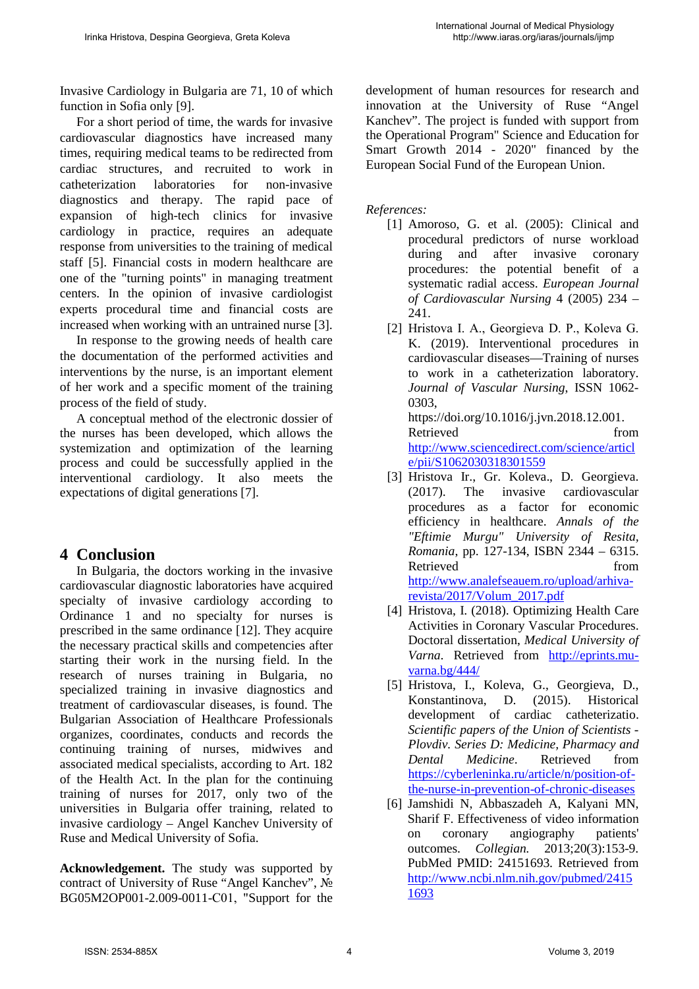Invasive Cardiology in Bulgaria are 71, 10 of which function in Sofia only [9].

For a short period of time, the wards for invasive cardiovascular diagnostics have increased many times, requiring medical teams to be redirected from cardiac structures, and recruited to work in catheterization laboratories for non-invasive diagnostics and therapy. The rapid pace of expansion of high-tech clinics for invasive cardiology in practice, requires an adequate response from universities to the training of medical staff [5]. Financial costs in modern healthcare are one of the "turning points" in managing treatment centers. In the opinion of invasive cardiologist experts procedural time and financial costs are increased when working with an untrained nurse [3].

In response to the growing needs of health care the documentation of the performed activities and interventions by the nurse, is an important element of her work and a specific moment of the training process of the field of study.

A conceptual method of the electronic dossier of the nurses has been developed, which allows the systemization and optimization of the learning process and could be successfully applied in the interventional cardiology. It also meets the expectations of digital generations [7].

## **4 Conclusion**

In Bulgaria, the doctors working in the invasive cardiovascular diagnostic laboratories have acquired specialty of invasive cardiology according to Ordinance 1 and no specialty for nurses is prescribed in the same ordinance [12]. They acquire the necessary practical skills and competencies after starting their work in the nursing field. In the research of nurses training in Bulgaria, no specialized training in invasive diagnostics and treatment of cardiovascular diseases, is found. The Bulgarian Association of Healthcare Professionals organizes, coordinates, conducts and records the continuing training of nurses, midwives and associated medical specialists, according to Art. 182 of the Health Act. In the plan for the continuing training of nurses for 2017, only two of the universities in Bulgaria offer training, related to invasive cardiology – Angel Kanchev University of Ruse and Medical University of Sofia.

**Acknowledgement.** The study was supported by contract of University of Ruse "Angel Kanchev", № BG05M2OP001-2.009-0011-С01, "Support for the development of human resources for research and innovation at the University of Ruse "Angel Kanchev". The project is funded with support from the Operational Program" Science and Education for Smart Growth 2014 - 2020" financed by the European Social Fund of the European Union.

*References:*

- [1] Amoroso, G. et al. (2005): Clinical and procedural predictors of nurse workload during and after invasive coronary procedures: the potential benefit of a systematic radial access. *European Journal of Cardiovascular Nursing* 4 (2005) 234 – 241.
- [2] Hristova I. А., Georgieva D. P., Koleva G. K. (2019). Interventional procedures in cardiovascular diseases—Training of nurses to work in a catheterization laboratory. *Journal of Vascular Nursing*, ISSN 1062- 0303, https://doi.org/10.1016/j.jvn.2018.12.001.

Retrieved from from [http://www.sciencedirect.com/science/articl](http://www.sciencedirect.com/science/article/pii/S1062030318301559) [e/pii/S1062030318301559](http://www.sciencedirect.com/science/article/pii/S1062030318301559) 

- [3] Hristova Ir., Gr. Koleva., D. Georgieva. (2017). The invasive cardiovascular procedures as a factor for economic efficiency in healthcare. *Annals of the "Eftimie Murgu" University of Resita, Romania*, pp. 127-134, ISBN 2344 – 6315. Retrieved from from [http://www.analefseauem.ro/upload/arhiva](http://www.analefseauem.ro/upload/arhiva-revista/2017/Volum_2017.pdf)[revista/2017/Volum\\_2017.pdf](http://www.analefseauem.ro/upload/arhiva-revista/2017/Volum_2017.pdf)
- [4] Hristova, I. (2018). Optimizing Health Care Activities in Coronary Vascular Procedures. Doctoral dissertation, *Medical University of Varna*. Retrieved from [http://eprints.mu](http://eprints.mu-varna.bg/444/)[varna.bg/444/](http://eprints.mu-varna.bg/444/)
- [5] Hristova, I., Koleva, G., Georgieva, D., Konstantinova, D. (2015). Historical development of cardiac catheterizatio. *Scientific papers of the Union of Scientists - Plovdiv. Series D: Medicine, Pharmacy and Dental Medicine*. Retrieved from [https://cyberleninka.ru/article/n/position-of](https://cyberleninka.ru/article/n/position-of-the-nurse-in-prevention-of-chronic-diseases)[the-nurse-in-prevention-of-chronic-diseases](https://cyberleninka.ru/article/n/position-of-the-nurse-in-prevention-of-chronic-diseases)
- [6] Jamshidi N, Abbaszadeh A, Kalyani MN, Sharif F. Effectiveness of video information on coronary angiography patients' outcomes. *Collegian.* 2013;20(3):153-9. PubMed PMID: 24151693. Retrieved from [http://www.ncbi.nlm.nih.gov/pubmed/2415](http://www.ncbi.nlm.nih.gov/pubmed/24151693) [1693](http://www.ncbi.nlm.nih.gov/pubmed/24151693)